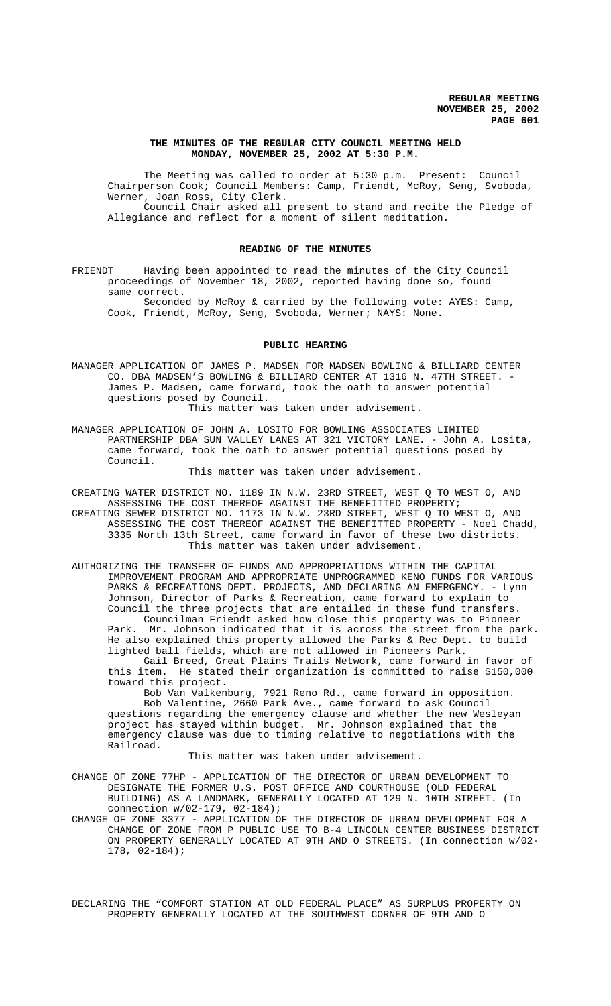### **THE MINUTES OF THE REGULAR CITY COUNCIL MEETING HELD MONDAY, NOVEMBER 25, 2002 AT 5:30 P.M.**

The Meeting was called to order at 5:30 p.m. Present: Council Chairperson Cook; Council Members: Camp, Friendt, McRoy, Seng, Svoboda, Werner, Joan Ross, City Clerk. Council Chair asked all present to stand and recite the Pledge of Allegiance and reflect for a moment of silent meditation.

#### **READING OF THE MINUTES**

FRIENDT Having been appointed to read the minutes of the City Council proceedings of November 18, 2002, reported having done so, found same correct.

Seconded by McRoy & carried by the following vote: AYES: Camp, Cook, Friendt, McRoy, Seng, Svoboda, Werner; NAYS: None.

### **PUBLIC HEARING**

MANAGER APPLICATION OF JAMES P. MADSEN FOR MADSEN BOWLING & BILLIARD CENTER CO. DBA MADSEN'S BOWLING & BILLIARD CENTER AT 1316 N. 47TH STREET. -James P. Madsen, came forward, took the oath to answer potential questions posed by Council.

This matter was taken under advisement.

MANAGER APPLICATION OF JOHN A. LOSITO FOR BOWLING ASSOCIATES LIMITED PARTNERSHIP DBA SUN VALLEY LANES AT 321 VICTORY LANE. - John A. Losita, came forward, took the oath to answer potential questions posed by Council.

This matter was taken under advisement.

- CREATING WATER DISTRICT NO. 1189 IN N.W. 23RD STREET, WEST Q TO WEST O, AND ASSESSING THE COST THEREOF AGAINST THE BENEFITTED PROPERTY; CREATING SEWER DISTRICT NO. 1173 IN N.W. 23RD STREET, WEST Q TO WEST O, AND ASSESSING THE COST THEREOF AGAINST THE BENEFITTED PROPERTY - Noel Chadd, 3335 North 13th Street, came forward in favor of these two districts. This matter was taken under advisement.
- AUTHORIZING THE TRANSFER OF FUNDS AND APPROPRIATIONS WITHIN THE CAPITAL IMPROVEMENT PROGRAM AND APPROPRIATE UNPROGRAMMED KENO FUNDS FOR VARIOUS PARKS & RECREATIONS DEPT. PROJECTS, AND DECLARING AN EMERGENCY. - Lynn Johnson, Director of Parks & Recreation, came forward to explain to Council the three projects that are entailed in these fund transfers. Councilman Friendt asked how close this property was to Pioneer

Park. Mr. Johnson indicated that it is across the street from the park. He also explained this property allowed the Parks & Rec Dept. to build lighted ball fields, which are not allowed in Pioneers Park.

Gail Breed, Great Plains Trails Network, came forward in favor of this item. He stated their organization is committed to raise \$150,000 toward this project.

Bob Van Valkenburg, 7921 Reno Rd., came forward in opposition. Bob Valentine, 2660 Park Ave., came forward to ask Council questions regarding the emergency clause and whether the new Wesleyan project has stayed within budget. Mr. Johnson explained that the emergency clause was due to timing relative to negotiations with the Railroad.

This matter was taken under advisement.

CHANGE OF ZONE 77HP - APPLICATION OF THE DIRECTOR OF URBAN DEVELOPMENT TO DESIGNATE THE FORMER U.S. POST OFFICE AND COURTHOUSE (OLD FEDERAL BUILDING) AS A LANDMARK, GENERALLY LOCATED AT 129 N. 10TH STREET. (In connection w/02-179, 02-184);

CHANGE OF ZONE 3377 - APPLICATION OF THE DIRECTOR OF URBAN DEVELOPMENT FOR A CHANGE OF ZONE FROM P PUBLIC USE TO B-4 LINCOLN CENTER BUSINESS DISTRICT ON PROPERTY GENERALLY LOCATED AT 9TH AND O STREETS. (In connection w/02- 178, 02-184);

DECLARING THE "COMFORT STATION AT OLD FEDERAL PLACE" AS SURPLUS PROPERTY ON PROPERTY GENERALLY LOCATED AT THE SOUTHWEST CORNER OF 9TH AND O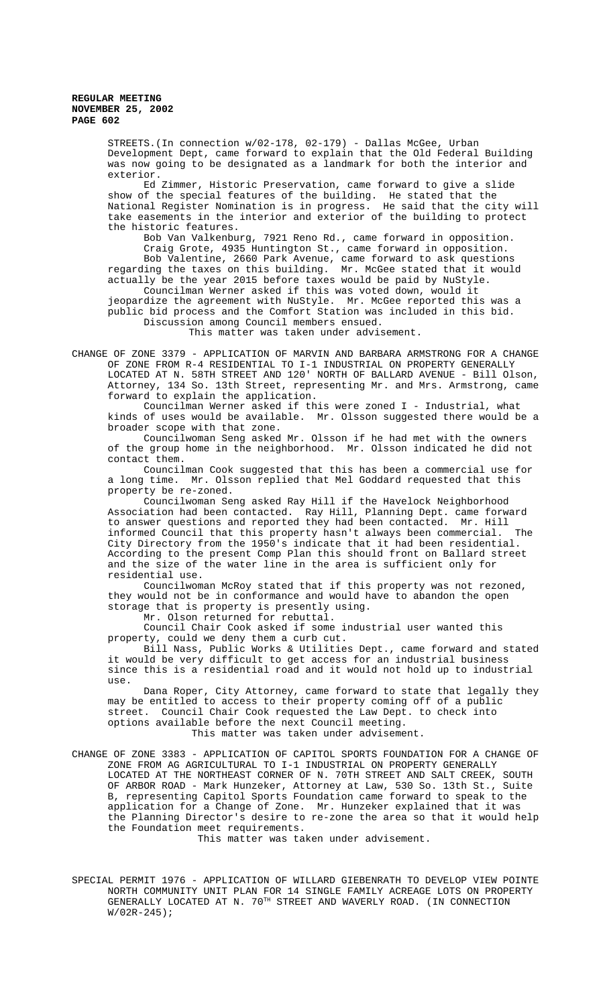STREETS.(In connection w/02-178, 02-179) - Dallas McGee, Urban Development Dept, came forward to explain that the Old Federal Building was now going to be designated as a landmark for both the interior and exterior.

Ed Zimmer, Historic Preservation, came forward to give a slide show of the special features of the building. He stated that the National Register Nomination is in progress. He said that the city will take easements in the interior and exterior of the building to protect the historic features.

Bob Van Valkenburg, 7921 Reno Rd., came forward in opposition. Craig Grote, 4935 Huntington St., came forward in opposition. Bob Valentine, 2660 Park Avenue, came forward to ask questions regarding the taxes on this building. Mr. McGee stated that it would actually be the year 2015 before taxes would be paid by NuStyle.

Councilman Werner asked if this was voted down, would it jeopardize the agreement with NuStyle. Mr. McGee reported this was a public bid process and the Comfort Station was included in this bid. Discussion among Council members ensued.

This matter was taken under advisement.

CHANGE OF ZONE 3379 - APPLICATION OF MARVIN AND BARBARA ARMSTRONG FOR A CHANGE OF ZONE FROM R-4 RESIDENTIAL TO I-1 INDUSTRIAL ON PROPERTY GENERALLY LOCATED AT N. 58TH STREET AND 120' NORTH OF BALLARD AVENUE - Bill Olson, Attorney, 134 So. 13th Street, representing Mr. and Mrs. Armstrong, came forward to explain the application.

Councilman Werner asked if this were zoned I - Industrial, what kinds of uses would be available. Mr. Olsson suggested there would be a broader scope with that zone.

Councilwoman Seng asked Mr. Olsson if he had met with the owners of the group home in the neighborhood. Mr. Olsson indicated he did not contact them.

Councilman Cook suggested that this has been a commercial use for a long time. Mr. Olsson replied that Mel Goddard requested that this property be re-zoned.

Councilwoman Seng asked Ray Hill if the Havelock Neighborhood Association had been contacted. Ray Hill, Planning Dept. came forward to answer questions and reported they had been contacted. Mr. Hill informed Council that this property hasn't always been commercial. The City Directory from the 1950's indicate that it had been residential. According to the present Comp Plan this should front on Ballard street and the size of the water line in the area is sufficient only for residential use.

Councilwoman McRoy stated that if this property was not rezoned, they would not be in conformance and would have to abandon the open storage that is property is presently using.

Mr. Olson returned for rebuttal.

Council Chair Cook asked if some industrial user wanted this property, could we deny them a curb cut.

Bill Nass, Public Works & Utilities Dept., came forward and stated it would be very difficult to get access for an industrial business since this is a residential road and it would not hold up to industrial use.

Dana Roper, City Attorney, came forward to state that legally they may be entitled to access to their property coming off of a public street. Council Chair Cook requested the Law Dept. to check into options available before the next Council meeting.

This matter was taken under advisement.

CHANGE OF ZONE 3383 - APPLICATION OF CAPITOL SPORTS FOUNDATION FOR A CHANGE OF ZONE FROM AG AGRICULTURAL TO I-1 INDUSTRIAL ON PROPERTY GENERALLY LOCATED AT THE NORTHEAST CORNER OF N. 70TH STREET AND SALT CREEK, SOUTH OF ARBOR ROAD - Mark Hunzeker, Attorney at Law, 530 So. 13th St., Suite B, representing Capitol Sports Foundation came forward to speak to the application for a Change of Zone. Mr. Hunzeker explained that it was the Planning Director's desire to re-zone the area so that it would help the Foundation meet requirements.

This matter was taken under advisement.

SPECIAL PERMIT 1976 - APPLICATION OF WILLARD GIEBENRATH TO DEVELOP VIEW POINTE NORTH COMMUNITY UNIT PLAN FOR 14 SINGLE FAMILY ACREAGE LOTS ON PROPERTY GENERALLY LOCATED AT N. 70TH STREET AND WAVERLY ROAD. (IN CONNECTION W/02R-245);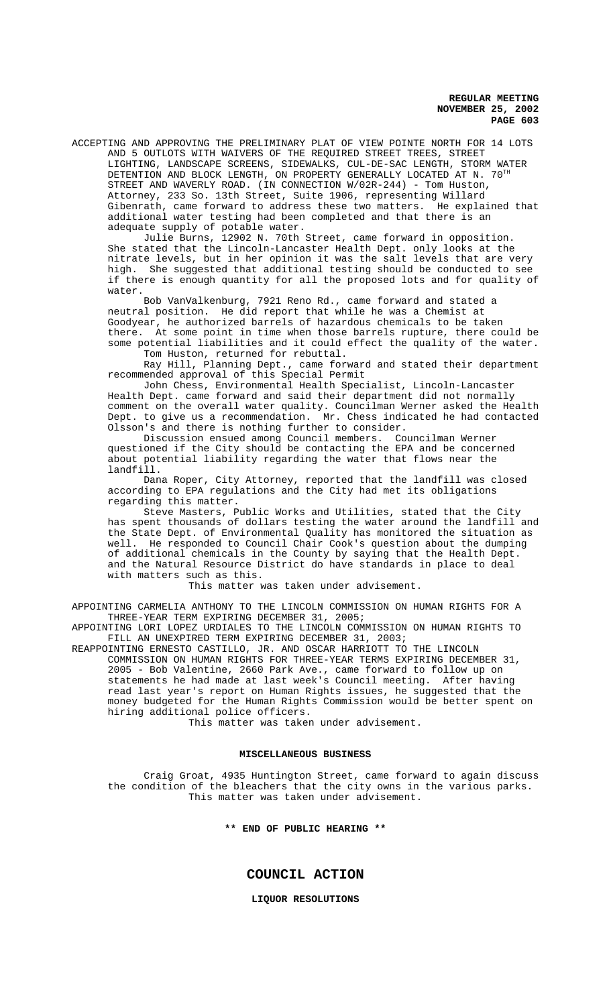ACCEPTING AND APPROVING THE PRELIMINARY PLAT OF VIEW POINTE NORTH FOR 14 LOTS AND 5 OUTLOTS WITH WAIVERS OF THE REQUIRED STREET TREES, STREET LIGHTING, LANDSCAPE SCREENS, SIDEWALKS, CUL-DE-SAC LENGTH, STORM WATER DETENTION AND BLOCK LENGTH, ON PROPERTY GENERALLY LOCATED AT N.  $70^{\text{th}}$ STREET AND WAVERLY ROAD. (IN CONNECTION W/02R-244) - Tom Huston, Attorney, 233 So. 13th Street, Suite 1906, representing Willard Gibenrath, came forward to address these two matters. He explained that additional water testing had been completed and that there is an adequate supply of potable water.

Julie Burns, 12902 N. 70th Street, came forward in opposition. She stated that the Lincoln-Lancaster Health Dept. only looks at the nitrate levels, but in her opinion it was the salt levels that are very high. She suggested that additional testing should be conducted to see if there is enough quantity for all the proposed lots and for quality of water.

Bob VanValkenburg, 7921 Reno Rd., came forward and stated a neutral position. He did report that while he was a Chemist at Goodyear, he authorized barrels of hazardous chemicals to be taken there. At some point in time when those barrels rupture, there could be some potential liabilities and it could effect the quality of the water. Tom Huston, returned for rebuttal.

Ray Hill, Planning Dept., came forward and stated their department recommended approval of this Special Permit

John Chess, Environmental Health Specialist, Lincoln-Lancaster Health Dept. came forward and said their department did not normally comment on the overall water quality. Councilman Werner asked the Health Dept. to give us a recommendation. Mr. Chess indicated he had contacted Olsson's and there is nothing further to consider.

Discussion ensued among Council members. Councilman Werner questioned if the City should be contacting the EPA and be concerned about potential liability regarding the water that flows near the landfill.

Dana Roper, City Attorney, reported that the landfill was closed according to EPA regulations and the City had met its obligations regarding this matter.

Steve Masters, Public Works and Utilities, stated that the City has spent thousands of dollars testing the water around the landfill and the State Dept. of Environmental Quality has monitored the situation as well. He responded to Council Chair Cook's question about the dumping of additional chemicals in the County by saying that the Health Dept. and the Natural Resource District do have standards in place to deal with matters such as this.

This matter was taken under advisement.

APPOINTING CARMELIA ANTHONY TO THE LINCOLN COMMISSION ON HUMAN RIGHTS FOR A THREE-YEAR TERM EXPIRING DECEMBER 31, 2005;

APPOINTING LORI LOPEZ URDIALES TO THE LINCOLN COMMISSION ON HUMAN RIGHTS TO FILL AN UNEXPIRED TERM EXPIRING DECEMBER 31, 2003;

REAPPOINTING ERNESTO CASTILLO, JR. AND OSCAR HARRIOTT TO THE LINCOLN COMMISSION ON HUMAN RIGHTS FOR THREE-YEAR TERMS EXPIRING DECEMBER 31, 2005 - Bob Valentine, 2660 Park Ave., came forward to follow up on statements he had made at last week's Council meeting. After having read last year's report on Human Rights issues, he suggested that the money budgeted for the Human Rights Commission would be better spent on hiring additional police officers.

This matter was taken under advisement.

### **MISCELLANEOUS BUSINESS**

Craig Groat, 4935 Huntington Street, came forward to again discuss the condition of the bleachers that the city owns in the various parks. This matter was taken under advisement.

**\*\* END OF PUBLIC HEARING \*\***

**COUNCIL ACTION**

**LIQUOR RESOLUTIONS**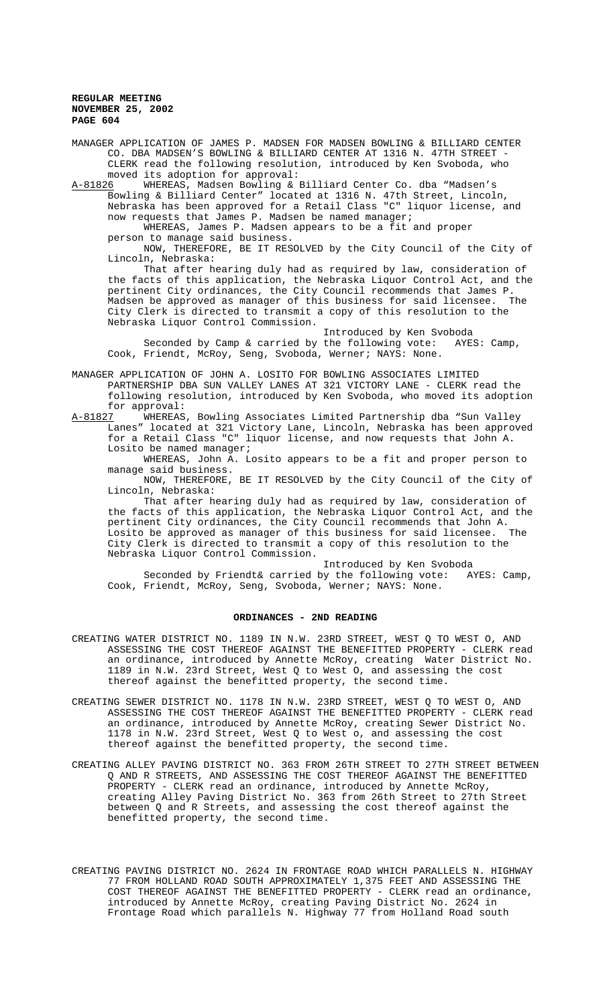MANAGER APPLICATION OF JAMES P. MADSEN FOR MADSEN BOWLING & BILLIARD CENTER CO. DBA MADSEN'S BOWLING & BILLIARD CENTER AT 1316 N. 47TH STREET - CLERK read the following resolution, introduced by Ken Svoboda, who moved its adoption for approval:

A-81826 WHEREAS, Madsen Bowling & Billiard Center Co. dba "Madsen's Bowling & Billiard Center" located at 1316 N. 47th Street, Lincoln, Nebraska has been approved for a Retail Class "C" liquor license, and

now requests that James P. Madsen be named manager; WHEREAS, James P. Madsen appears to be a fit and proper person to manage said business.

NOW, THEREFORE, BE IT RESOLVED by the City Council of the City of Lincoln, Nebraska:

That after hearing duly had as required by law, consideration of the facts of this application, the Nebraska Liquor Control Act, and the pertinent City ordinances, the City Council recommends that James P. Madsen be approved as manager of this business for said licensee. The City Clerk is directed to transmit a copy of this resolution to the Nebraska Liquor Control Commission.

Introduced by Ken Svoboda Seconded by Camp & carried by the following vote: AYES: Camp, Cook, Friendt, McRoy, Seng, Svoboda, Werner; NAYS: None.

MANAGER APPLICATION OF JOHN A. LOSITO FOR BOWLING ASSOCIATES LIMITED PARTNERSHIP DBA SUN VALLEY LANES AT 321 VICTORY LANE - CLERK read the following resolution, introduced by Ken Svoboda, who moved its adoption

for approval:<br>A-81827 WHEREAS WHEREAS, Bowling Associates Limited Partnership dba "Sun Valley Lanes" located at 321 Victory Lane, Lincoln, Nebraska has been approved for a Retail Class "C" liquor license, and now requests that John A. Losito be named manager;

WHEREAS, John A. Losito appears to be a fit and proper person to manage said business.

NOW, THEREFORE, BE IT RESOLVED by the City Council of the City of Lincoln, Nebraska:

That after hearing duly had as required by law, consideration of the facts of this application, the Nebraska Liquor Control Act, and the pertinent City ordinances, the City Council recommends that John A.<br>Losito be approved as manager of this business for said licensee. The Losito be approved as manager of this business for said licensee. City Clerk is directed to transmit a copy of this resolution to the Nebraska Liquor Control Commission.

Introduced by Ken Svoboda

Seconded by Friendt& carried by the following vote: AYES: Camp, Cook, Friendt, McRoy, Seng, Svoboda, Werner; NAYS: None.

# **ORDINANCES - 2ND READING**

- CREATING WATER DISTRICT NO. 1189 IN N.W. 23RD STREET, WEST Q TO WEST O, AND ASSESSING THE COST THEREOF AGAINST THE BENEFITTED PROPERTY - CLERK read an ordinance, introduced by Annette McRoy, creating Water District No. 1189 in N.W. 23rd Street, West Q to West O, and assessing the cost thereof against the benefitted property, the second time.
- CREATING SEWER DISTRICT NO. 1178 IN N.W. 23RD STREET, WEST Q TO WEST O, AND ASSESSING THE COST THEREOF AGAINST THE BENEFITTED PROPERTY - CLERK read an ordinance, introduced by Annette McRoy, creating Sewer District No. 1178 in N.W. 23rd Street, West Q to West o, and assessing the cost thereof against the benefitted property, the second time.
- CREATING ALLEY PAVING DISTRICT NO. 363 FROM 26TH STREET TO 27TH STREET BETWEEN Q AND R STREETS, AND ASSESSING THE COST THEREOF AGAINST THE BENEFITTED PROPERTY - CLERK read an ordinance, introduced by Annette McRoy, creating Alley Paving District No. 363 from 26th Street to 27th Street between Q and R Streets, and assessing the cost thereof against the benefitted property, the second time.
- CREATING PAVING DISTRICT NO. 2624 IN FRONTAGE ROAD WHICH PARALLELS N. HIGHWAY 77 FROM HOLLAND ROAD SOUTH APPROXIMATELY 1,375 FEET AND ASSESSING THE COST THEREOF AGAINST THE BENEFITTED PROPERTY - CLERK read an ordinance, introduced by Annette McRoy, creating Paving District No. 2624 in Frontage Road which parallels N. Highway 77 from Holland Road south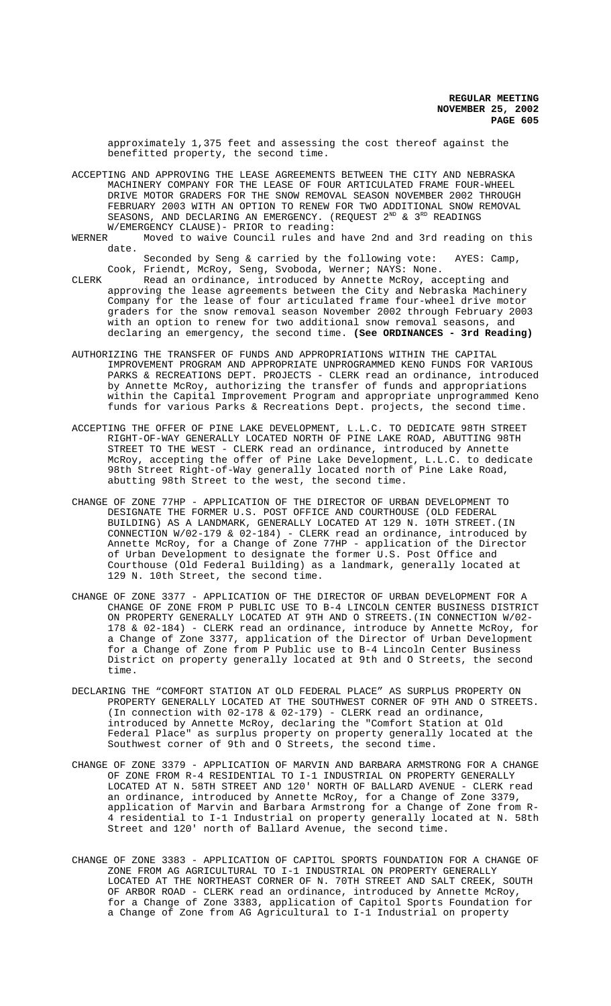approximately 1,375 feet and assessing the cost thereof against the benefitted property, the second time.

ACCEPTING AND APPROVING THE LEASE AGREEMENTS BETWEEN THE CITY AND NEBRASKA MACHINERY COMPANY FOR THE LEASE OF FOUR ARTICULATED FRAME FOUR-WHEEL DRIVE MOTOR GRADERS FOR THE SNOW REMOVAL SEASON NOVEMBER 2002 THROUGH FEBRUARY 2003 WITH AN OPTION TO RENEW FOR TWO ADDITIONAL SNOW REMOVAL SEASONS, AND DECLARING AN EMERGENCY. (REQUEST  $2^{ND}$  &  $3^{RD}$  READINGS

W/EMERGENCY CLAUSE)- PRIOR to reading:<br>WERNER Moved to waive Council rules and Moved to waive Council rules and have 2nd and 3rd reading on this date.

Seconded by Seng & carried by the following vote: AYES: Camp, Cook, Friendt, McRoy, Seng, Svoboda, Werner; NAYS: None.

CLERK Read an ordinance, introduced by Annette McRoy, accepting and approving the lease agreements between the City and Nebraska Machinery Company for the lease of four articulated frame four-wheel drive motor graders for the snow removal season November 2002 through February 2003 with an option to renew for two additional snow removal seasons, and declaring an emergency, the second time. **(See ORDINANCES - 3rd Reading)**

- AUTHORIZING THE TRANSFER OF FUNDS AND APPROPRIATIONS WITHIN THE CAPITAL IMPROVEMENT PROGRAM AND APPROPRIATE UNPROGRAMMED KENO FUNDS FOR VARIOUS PARKS & RECREATIONS DEPT. PROJECTS - CLERK read an ordinance, introduced by Annette McRoy, authorizing the transfer of funds and appropriations within the Capital Improvement Program and appropriate unprogrammed Keno funds for various Parks & Recreations Dept. projects, the second time.
- ACCEPTING THE OFFER OF PINE LAKE DEVELOPMENT, L.L.C. TO DEDICATE 98TH STREET RIGHT-OF-WAY GENERALLY LOCATED NORTH OF PINE LAKE ROAD, ABUTTING 98TH STREET TO THE WEST - CLERK read an ordinance, introduced by Annette McRoy, accepting the offer of Pine Lake Development, L.L.C. to dedicate 98th Street Right-of-Way generally located north of Pine Lake Road, abutting 98th Street to the west, the second time.
- CHANGE OF ZONE 77HP APPLICATION OF THE DIRECTOR OF URBAN DEVELOPMENT TO DESIGNATE THE FORMER U.S. POST OFFICE AND COURTHOUSE (OLD FEDERAL BUILDING) AS A LANDMARK, GENERALLY LOCATED AT 129 N. 10TH STREET.(IN CONNECTION W/02-179 & 02-184) - CLERK read an ordinance, introduced by Annette McRoy, for a Change of Zone 77HP - application of the Director of Urban Development to designate the former U.S. Post Office and Courthouse (Old Federal Building) as a landmark, generally located at 129 N. 10th Street, the second time.
- CHANGE OF ZONE 3377 APPLICATION OF THE DIRECTOR OF URBAN DEVELOPMENT FOR A CHANGE OF ZONE FROM P PUBLIC USE TO B-4 LINCOLN CENTER BUSINESS DISTRICT ON PROPERTY GENERALLY LOCATED AT 9TH AND O STREETS.(IN CONNECTION W/02- 178 & 02-184) - CLERK read an ordinance, introduce by Annette McRoy, for a Change of Zone 3377, application of the Director of Urban Development for a Change of Zone from P Public use to B-4 Lincoln Center Business District on property generally located at 9th and O Streets, the second time.
- DECLARING THE "COMFORT STATION AT OLD FEDERAL PLACE" AS SURPLUS PROPERTY ON PROPERTY GENERALLY LOCATED AT THE SOUTHWEST CORNER OF 9TH AND O STREETS. (In connection with 02-178 & 02-179) - CLERK read an ordinance, introduced by Annette McRoy, declaring the "Comfort Station at Old Federal Place" as surplus property on property generally located at the Southwest corner of 9th and O Streets, the second time.
- CHANGE OF ZONE 3379 APPLICATION OF MARVIN AND BARBARA ARMSTRONG FOR A CHANGE OF ZONE FROM R-4 RESIDENTIAL TO I-1 INDUSTRIAL ON PROPERTY GENERALLY LOCATED AT N. 58TH STREET AND 120' NORTH OF BALLARD AVENUE - CLERK read an ordinance, introduced by Annette McRoy, for a Change of Zone 3379, application of Marvin and Barbara Armstrong for a Change of Zone from R-4 residential to I-1 Industrial on property generally located at N. 58th Street and 120' north of Ballard Avenue, the second time.
- CHANGE OF ZONE 3383 APPLICATION OF CAPITOL SPORTS FOUNDATION FOR A CHANGE OF ZONE FROM AG AGRICULTURAL TO I-1 INDUSTRIAL ON PROPERTY GENERALLY LOCATED AT THE NORTHEAST CORNER OF N. 70TH STREET AND SALT CREEK, SOUTH OF ARBOR ROAD - CLERK read an ordinance, introduced by Annette McRoy, for a Change of Zone 3383, application of Capitol Sports Foundation for a Change of Zone from AG Agricultural to I-1 Industrial on property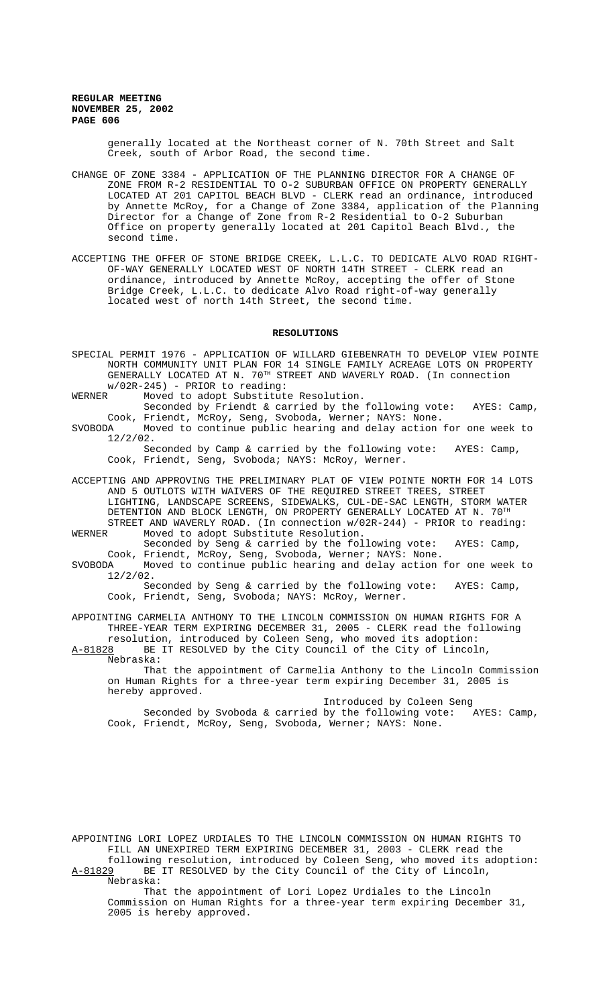generally located at the Northeast corner of N. 70th Street and Salt Creek, south of Arbor Road, the second time.

- CHANGE OF ZONE 3384 APPLICATION OF THE PLANNING DIRECTOR FOR A CHANGE OF ZONE FROM R-2 RESIDENTIAL TO O-2 SUBURBAN OFFICE ON PROPERTY GENERALLY LOCATED AT 201 CAPITOL BEACH BLVD - CLERK read an ordinance, introduced by Annette McRoy, for a Change of Zone 3384, application of the Planning Director for a Change of Zone from R-2 Residential to O-2 Suburban Office on property generally located at 201 Capitol Beach Blvd., the second time.
- ACCEPTING THE OFFER OF STONE BRIDGE CREEK, L.L.C. TO DEDICATE ALVO ROAD RIGHT-OF-WAY GENERALLY LOCATED WEST OF NORTH 14TH STREET - CLERK read an ordinance, introduced by Annette McRoy, accepting the offer of Stone Bridge Creek, L.L.C. to dedicate Alvo Road right-of-way generally located west of north 14th Street, the second time.

### **RESOLUTIONS**

| SPECIAL PERMIT 1976 - APPLICATION OF WILLARD GIEBENRATH TO DEVELOP VIEW POINTE<br>NORTH COMMUNITY UNIT PLAN FOR 14 SINGLE FAMILY ACREAGE LOTS ON PROPERTY<br>GENERALLY LOCATED AT N. 70 <sup>TH</sup> STREET AND WAVERLY ROAD. (In connection |  |  |  |  |
|-----------------------------------------------------------------------------------------------------------------------------------------------------------------------------------------------------------------------------------------------|--|--|--|--|
| $w/02R-245$ ) - PRIOR to reading:                                                                                                                                                                                                             |  |  |  |  |
| Moved to adopt Substitute Resolution.<br>WERNER                                                                                                                                                                                               |  |  |  |  |
| Seconded by Friendt & carried by the following vote: AYES: Camp,                                                                                                                                                                              |  |  |  |  |
| Cook, Friendt, McRoy, Seng, Svoboda, Werner; NAYS: None.                                                                                                                                                                                      |  |  |  |  |
| Moved to continue public hearing and delay action for one week to<br>SVOBODA                                                                                                                                                                  |  |  |  |  |
| $12/2/02$ .                                                                                                                                                                                                                                   |  |  |  |  |
| Seconded by Camp & carried by the following vote: AYES: Camp,                                                                                                                                                                                 |  |  |  |  |
| Cook, Friendt, Seng, Svoboda; NAYS: McRoy, Werner.                                                                                                                                                                                            |  |  |  |  |
| ACCEPTING AND APPROVING THE PRELIMINARY PLAT OF VIEW POINTE NORTH FOR 14 LOTS                                                                                                                                                                 |  |  |  |  |
| AND 5 OUTLOTS WITH WAIVERS OF THE REOUIRED STREET TREES, STREET                                                                                                                                                                               |  |  |  |  |
| LIGHTING, LANDSCAPE SCREENS, SIDEWALKS, CUL-DE-SAC LENGTH, STORM WATER                                                                                                                                                                        |  |  |  |  |
| DETENTION AND BLOCK LENGTH, ON PROPERTY GENERALLY LOCATED AT N. 70TH                                                                                                                                                                          |  |  |  |  |

STREET AND WAVERLY ROAD. (In connection w/02R-244) - PRIOR to reading:<br>WERNER Moved to adopt Substitute Resolution. Moved to adopt Substitute Resolution.

Seconded by Seng & carried by the following vote: AYES: Camp, Cook, Friendt, McRoy, Seng, Svoboda, Werner; NAYS: None.<br>SVOBODA Moved to continue public hearing and delay action

Moved to continue public hearing and delay action for one week to 12/2/02.

Seconded by Seng & carried by the following vote: AYES: Camp, Cook, Friendt, Seng, Svoboda; NAYS: McRoy, Werner.

APPOINTING CARMELIA ANTHONY TO THE LINCOLN COMMISSION ON HUMAN RIGHTS FOR A THREE-YEAR TERM EXPIRING DECEMBER 31, 2005 - CLERK read the following resolution, introduced by Coleen Seng, who moved its adoption:

A-81828 BE IT RESOLVED by the City Council of the City of Lincoln, Nebraska:

That the appointment of Carmelia Anthony to the Lincoln Commission on Human Rights for a three-year term expiring December 31, 2005 is hereby approved.

Introduced by Coleen Seng Seconded by Svoboda & carried by the following vote: AYES: Camp, Cook, Friendt, McRoy, Seng, Svoboda, Werner; NAYS: None.

APPOINTING LORI LOPEZ URDIALES TO THE LINCOLN COMMISSION ON HUMAN RIGHTS TO FILL AN UNEXPIRED TERM EXPIRING DECEMBER 31, 2003 - CLERK read the following resolution, introduced by Coleen Seng, who moved its adoption: A-81829 BE IT RESOLVED by the City Council of the City of Lincoln,

Nebraska:

That the appointment of Lori Lopez Urdiales to the Lincoln Commission on Human Rights for a three-year term expiring December 31, 2005 is hereby approved.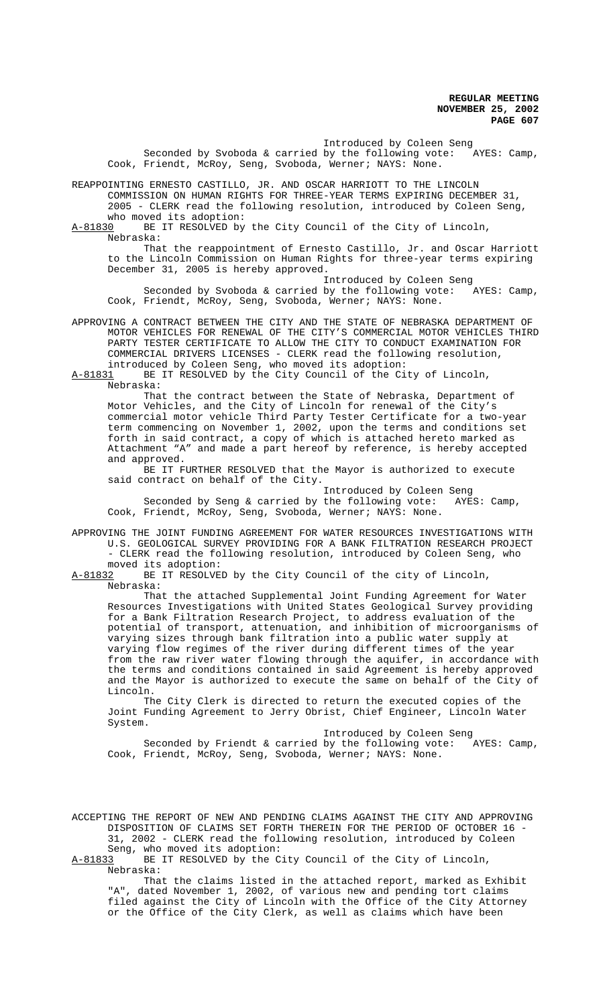Introduced by Coleen Seng<br>by the following vote: AYES: Camp, Seconded by Svoboda & carried by the following vote: Cook, Friendt, McRoy, Seng, Svoboda, Werner; NAYS: None.

REAPPOINTING ERNESTO CASTILLO, JR. AND OSCAR HARRIOTT TO THE LINCOLN COMMISSION ON HUMAN RIGHTS FOR THREE-YEAR TERMS EXPIRING DECEMBER 31, 2005 - CLERK read the following resolution, introduced by Coleen Seng, who moved its adoption:

A-81830 BE IT RESOLVED by the City Council of the City of Lincoln, Nebraska:

That the reappointment of Ernesto Castillo, Jr. and Oscar Harriott to the Lincoln Commission on Human Rights for three-year terms expiring December 31, 2005 is hereby approved.

Introduced by Coleen Seng Seconded by Svoboda & carried by the following vote: AYES: Camp, Cook, Friendt, McRoy, Seng, Svoboda, Werner; NAYS: None.

APPROVING A CONTRACT BETWEEN THE CITY AND THE STATE OF NEBRASKA DEPARTMENT OF MOTOR VEHICLES FOR RENEWAL OF THE CITY'S COMMERCIAL MOTOR VEHICLES THIRD PARTY TESTER CERTIFICATE TO ALLOW THE CITY TO CONDUCT EXAMINATION FOR COMMERCIAL DRIVERS LICENSES - CLERK read the following resolution,

introduced by Coleen Seng, who moved its adoption:<br>A-81831 BE IT RESOLVED by the City Council of the Ci BE IT RESOLVED by the City Council of the City of Lincoln,

Nebraska:

That the contract between the State of Nebraska, Department of Motor Vehicles, and the City of Lincoln for renewal of the City's commercial motor vehicle Third Party Tester Certificate for a two-year term commencing on November 1, 2002, upon the terms and conditions set forth in said contract, a copy of which is attached hereto marked as Attachment "A" and made a part hereof by reference, is hereby accepted and approved.

BE IT FURTHER RESOLVED that the Mayor is authorized to execute said contract on behalf of the City.

Introduced by Coleen Seng<br>the following vote: AYES: Camp, Seconded by Seng & carried by the following vote: Cook, Friendt, McRoy, Seng, Svoboda, Werner; NAYS: None.

APPROVING THE JOINT FUNDING AGREEMENT FOR WATER RESOURCES INVESTIGATIONS WITH U.S. GEOLOGICAL SURVEY PROVIDING FOR A BANK FILTRATION RESEARCH PROJECT - CLERK read the following resolution, introduced by Coleen Seng, who moved its adoption:

A-81832 BE IT RESOLVED by the City Council of the city of Lincoln, Nebraska:

That the attached Supplemental Joint Funding Agreement for Water Resources Investigations with United States Geological Survey providing for a Bank Filtration Research Project, to address evaluation of the potential of transport, attenuation, and inhibition of microorganisms of varying sizes through bank filtration into a public water supply at varying flow regimes of the river during different times of the year from the raw river water flowing through the aquifer, in accordance with the terms and conditions contained in said Agreement is hereby approved and the Mayor is authorized to execute the same on behalf of the City of Lincoln.

The City Clerk is directed to return the executed copies of the Joint Funding Agreement to Jerry Obrist, Chief Engineer, Lincoln Water System.

Introduced by Coleen Seng Seconded by Friendt & carried by the following vote: AYES: Camp, Cook, Friendt, McRoy, Seng, Svoboda, Werner; NAYS: None.

ACCEPTING THE REPORT OF NEW AND PENDING CLAIMS AGAINST THE CITY AND APPROVING DISPOSITION OF CLAIMS SET FORTH THEREIN FOR THE PERIOD OF OCTOBER 16 - 31, 2002 - CLERK read the following resolution, introduced by Coleen

Seng, who moved its adoption:

A-81833 BE IT RESOLVED by the City Council of the City of Lincoln, Nebraska:

That the claims listed in the attached report, marked as Exhibit "A", dated November 1, 2002, of various new and pending tort claims filed against the City of Lincoln with the Office of the City Attorney or the Office of the City Clerk, as well as claims which have been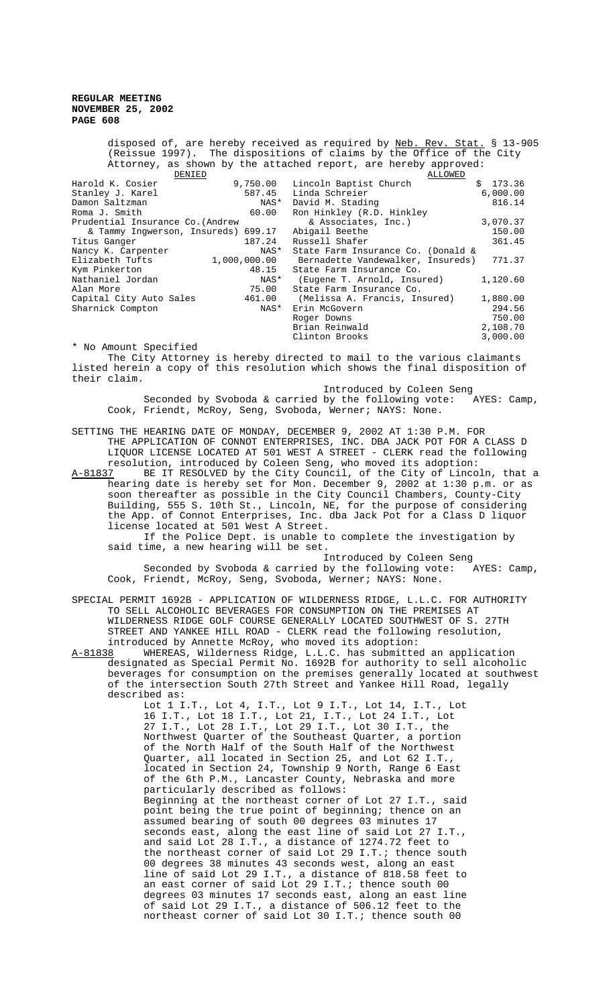disposed of, are hereby received as required by Neb. Rev. Stat. § 13-905 (Reissue 1997). The dispositions of claims by the Office of the City Attorney, as shown by the attached report, are hereby approved:

| DENIED                              |              | ALLOWED                            |          |
|-------------------------------------|--------------|------------------------------------|----------|
| Harold K. Cosier                    | 9,750.00     | Lincoln Baptist Church             | \$173.36 |
| Stanley J. Karel                    | 587.45       | Linda Schreier                     | 6.000.00 |
| Damon Saltzman                      | NAS*         | David M. Stading                   | 816.14   |
| Roma J. Smith                       | 60.00        | Ron Hinkley (R.D. Hinkley          |          |
| Prudential Insurance Co. (Andrew    |              | & Associates, Inc.)                | 3,070.37 |
| & Tammy Inqwerson, Insureds) 699.17 |              | Abigail Beethe                     | 150.00   |
| Titus Ganger                        | 187.24       | Russell Shafer                     | 361.45   |
| Nancy K. Carpenter                  | NAS*         | State Farm Insurance Co. (Donald & |          |
| Elizabeth Tufts                     | 1,000,000.00 | Bernadette Vandewalker, Insureds)  | 771.37   |
| Kym Pinkerton                       | 48.15        | State Farm Insurance Co.           |          |
| Nathaniel Jordan                    | NAS*         | (Eugene T. Arnold, Insured)        | 1,120.60 |
| Alan More                           | 75.00        | State Farm Insurance Co.           |          |
| Capital City Auto Sales             | 461.00       | (Melissa A. Francis, Insured)      | 1,880.00 |
| Sharnick Compton                    | NAS*         | Erin McGovern                      | 294.56   |
|                                     |              | Roger Downs                        | 750.00   |
|                                     |              | Brian Reinwald                     | 2,108.70 |
|                                     |              | Clinton Brooks                     | 3,000.00 |

\* No Amount Specified

The City Attorney is hereby directed to mail to the various claimants listed herein a copy of this resolution which shows the final disposition of their claim.

 Introduced by Coleen Seng Seconded by Svoboda & carried by the following vote:  $XYES: Camp,$ Cook, Friendt, McRoy, Seng, Svoboda, Werner; NAYS: None.

SETTING THE HEARING DATE OF MONDAY, DECEMBER 9, 2002 AT 1:30 P.M. FOR THE APPLICATION OF CONNOT ENTERPRISES, INC. DBA JACK POT FOR A CLASS D LIQUOR LICENSE LOCATED AT 501 WEST A STREET - CLERK read the following resolution, introduced by Coleen Seng, who moved its adoption:

A-81837 BE IT RESOLVED by the City Council, of the City of Lincoln, that a hearing date is hereby set for Mon. December 9, 2002 at 1:30 p.m. or as soon thereafter as possible in the City Council Chambers, County-City Building, 555 S. 10th St., Lincoln, NE, for the purpose of considering the App. of Connot Enterprises, Inc. dba Jack Pot for a Class D liquor license located at 501 West A Street.

If the Police Dept. is unable to complete the investigation by said time, a new hearing will be set.

Introduced by Coleen Seng Seconded by Svoboda & carried by the following vote: AYES: Camp, Cook, Friendt, McRoy, Seng, Svoboda, Werner; NAYS: None.

- SPECIAL PERMIT 1692B APPLICATION OF WILDERNESS RIDGE, L.L.C. FOR AUTHORITY TO SELL ALCOHOLIC BEVERAGES FOR CONSUMPTION ON THE PREMISES AT WILDERNESS RIDGE GOLF COURSE GENERALLY LOCATED SOUTHWEST OF S. 27TH STREET AND YANKEE HILL ROAD - CLERK read the following resolution,
- introduced by Annette McRoy, who moved its adoption:<br>A-81838 WHEREAS, Wilderness Ridge, L.L.C. has submitted A-81838 MHEREAS, Wilderness Ridge, L.L.C. has submitted an application designated as Special Permit No. 1692B for authority to sell alcoholic beverages for consumption on the premises generally located at southwest of the intersection South 27th Street and Yankee Hill Road, legally described as:

Lot 1 I.T., Lot 4, I.T., Lot 9 I.T., Lot 14, I.T., Lot 16 I.T., Lot 18 I.T., Lot 21, I.T., Lot 24 I.T., Lot 27 I.T., Lot 28 I.T., Lot 29 I.T., Lot 30 I.T., the Northwest Quarter of the Southeast Quarter, a portion of the North Half of the South Half of the Northwest Quarter, all located in Section 25, and Lot 62 I.T., located in Section 24, Township 9 North, Range 6 East of the 6th P.M., Lancaster County, Nebraska and more particularly described as follows: Beginning at the northeast corner of Lot 27 I.T., said point being the true point of beginning; thence on an assumed bearing of south 00 degrees 03 minutes 17 seconds east, along the east line of said Lot 27 I.T., and said Lot 28 I.T., a distance of 1274.72 feet to the northeast corner of said Lot 29 I.T.; thence south 00 degrees 38 minutes 43 seconds west, along an east line of said Lot 29 I.T., a distance of 818.58 feet to an east corner of said Lot 29 I.T.; thence south 00 degrees 03 minutes 17 seconds east, along an east line of said Lot 29 I.T., a distance of 506.12 feet to the northeast corner of said Lot 30 I.T.; thence south 00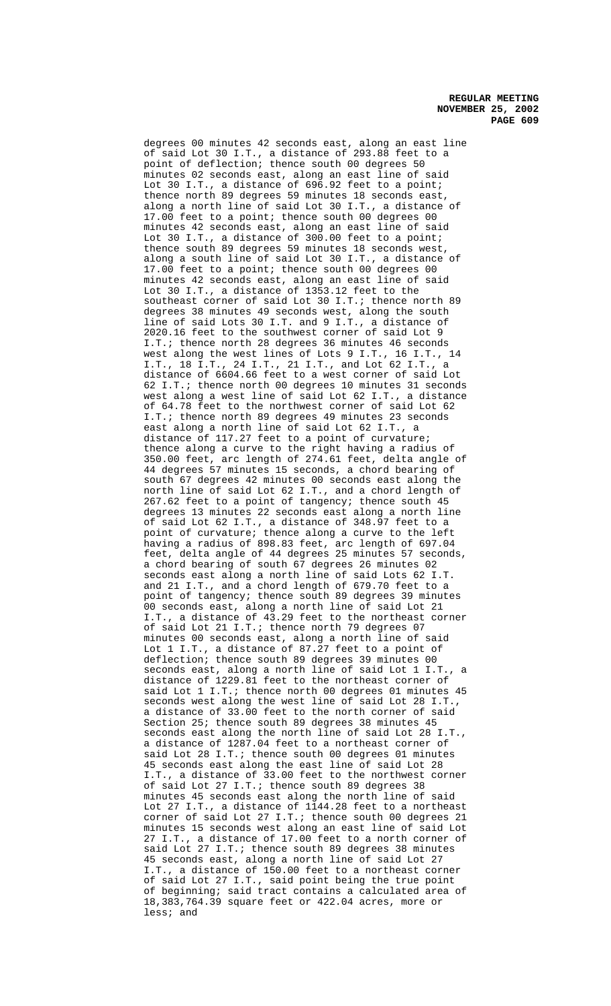degrees 00 minutes 42 seconds east, along an east line of said Lot 30 I.T., a distance of 293.88 feet to a point of deflection; thence south 00 degrees 50 minutes 02 seconds east, along an east line of said Lot 30 I.T., a distance of 696.92 feet to a point; thence north 89 degrees 59 minutes 18 seconds east, along a north line of said Lot 30 I.T., a distance of 17.00 feet to a point; thence south 00 degrees 00 minutes 42 seconds east, along an east line of said Lot 30 I.T., a distance of 300.00 feet to a point; thence south 89 degrees 59 minutes 18 seconds west, along a south line of said Lot 30 I.T., a distance of 17.00 feet to a point; thence south 00 degrees 00 minutes 42 seconds east, along an east line of said Lot 30 I.T., a distance of 1353.12 feet to the southeast corner of said Lot 30 I.T.; thence north 89 degrees 38 minutes 49 seconds west, along the south line of said Lots 30 I.T. and 9 I.T., a distance of 2020.16 feet to the southwest corner of said Lot 9 I.T.; thence north 28 degrees 36 minutes 46 seconds west along the west lines of Lots 9 I.T., 16 I.T., 14 I.T., 18 I.T., 24 I.T., 21 I.T., and Lot 62 I.T., a distance of 6604.66 feet to a west corner of said Lot 62 I.T.; thence north 00 degrees 10 minutes 31 seconds west along a west line of said Lot 62 I.T., a distance of 64.78 feet to the northwest corner of said Lot 62 I.T.; thence north 89 degrees 49 minutes 23 seconds east along a north line of said Lot 62 I.T., a distance of 117.27 feet to a point of curvature; thence along a curve to the right having a radius of 350.00 feet, arc length of 274.61 feet, delta angle of 44 degrees 57 minutes 15 seconds, a chord bearing of south 67 degrees 42 minutes 00 seconds east along the north line of said Lot 62 I.T., and a chord length of 267.62 feet to a point of tangency; thence south 45 degrees 13 minutes 22 seconds east along a north line of said Lot 62 I.T., a distance of 348.97 feet to a point of curvature; thence along a curve to the left having a radius of 898.83 feet, arc length of 697.04 feet, delta angle of 44 degrees 25 minutes 57 seconds, a chord bearing of south 67 degrees 26 minutes 02 seconds east along a north line of said Lots 62 I.T. and 21 I.T., and a chord length of 679.70 feet to a point of tangency; thence south 89 degrees 39 minutes 00 seconds east, along a north line of said Lot 21 I.T., a distance of 43.29 feet to the northeast corner of said Lot 21 I.T.; thence north 79 degrees 07 minutes 00 seconds east, along a north line of said Lot 1 I.T., a distance of 87.27 feet to a point of deflection; thence south 89 degrees 39 minutes 00 seconds east, along a north line of said Lot 1 I.T., distance of 1229.81 feet to the northeast corner of said Lot 1 I.T.; thence north 00 degrees 01 minutes 45 seconds west along the west line of said Lot 28 I.T., a distance of 33.00 feet to the north corner of said Section 25; thence south 89 degrees 38 minutes 45 seconds east along the north line of said Lot 28 I.T., a distance of 1287.04 feet to a northeast corner of said Lot 28 I.T.; thence south 00 degrees 01 minutes 45 seconds east along the east line of said Lot 28 I.T., a distance of 33.00 feet to the northwest corner of said Lot 27 I.T.; thence south 89 degrees 38 minutes 45 seconds east along the north line of said Lot 27 I.T., a distance of 1144.28 feet to a northeast corner of said Lot 27 I.T.; thence south 00 degrees 21 minutes 15 seconds west along an east line of said Lot 27 I.T., a distance of 17.00 feet to a north corner of said Lot 27 I.T.; thence south 89 degrees 38 minutes 45 seconds east, along a north line of said Lot 27 I.T., a distance of 150.00 feet to a northeast corner of said Lot 27 I.T., said point being the true point of beginning; said tract contains a calculated area of 18,383,764.39 square feet or 422.04 acres, more or less; and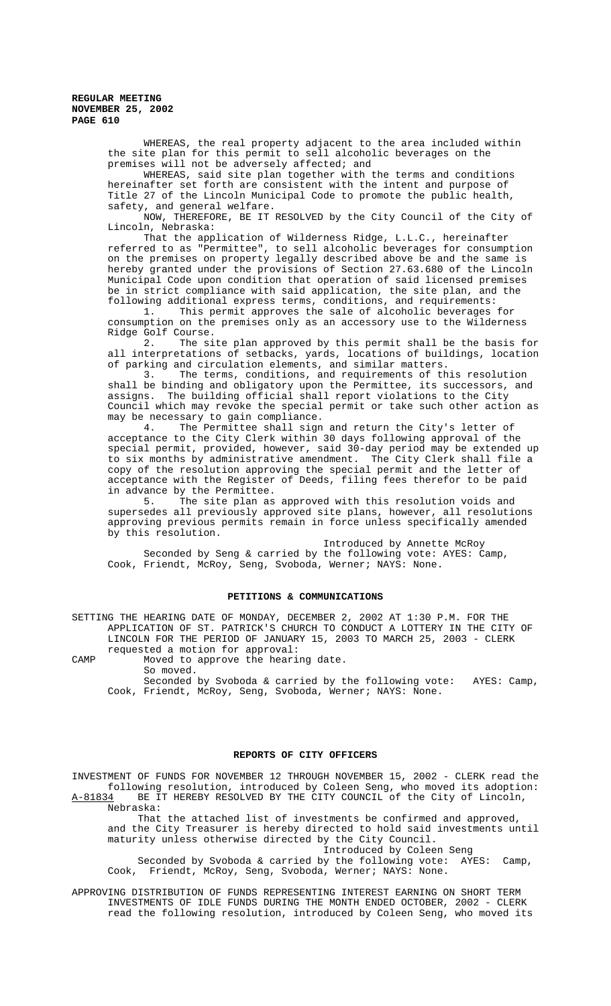> WHEREAS, the real property adjacent to the area included within the site plan for this permit to sell alcoholic beverages on the premises will not be adversely affected; and

WHEREAS, said site plan together with the terms and conditions hereinafter set forth are consistent with the intent and purpose of Title 27 of the Lincoln Municipal Code to promote the public health, safety, and general welfare.

NOW, THEREFORE, BE IT RESOLVED by the City Council of the City of Lincoln, Nebraska:

That the application of Wilderness Ridge, L.L.C., hereinafter referred to as "Permittee", to sell alcoholic beverages for consumption on the premises on property legally described above be and the same is hereby granted under the provisions of Section 27.63.680 of the Lincoln Municipal Code upon condition that operation of said licensed premises be in strict compliance with said application, the site plan, and the following additional express terms, conditions, and requirements:

1. This permit approves the sale of alcoholic beverages for consumption on the premises only as an accessory use to the Wilderness Ridge Golf Course.

2. The site plan approved by this permit shall be the basis for all interpretations of setbacks, yards, locations of buildings, location of parking and circulation elements, and similar matters.

3. The terms, conditions, and requirements of this resolution shall be binding and obligatory upon the Permittee, its successors, and assigns. The building official shall report violations to the City Council which may revoke the special permit or take such other action as may be necessary to gain compliance.<br>4. The Permittee shall sign

The Permittee shall sign and return the City's letter of acceptance to the City Clerk within 30 days following approval of the special permit, provided, however, said 30-day period may be extended up to six months by administrative amendment. The City Clerk shall file a copy of the resolution approving the special permit and the letter of acceptance with the Register of Deeds, filing fees therefor to be paid in advance by the Permittee.

5. The site plan as approved with this resolution voids and supersedes all previously approved site plans, however, all resolutions approving previous permits remain in force unless specifically amended by this resolution.

Introduced by Annette McRoy Seconded by Seng & carried by the following vote: AYES: Camp, Cook, Friendt, McRoy, Seng, Svoboda, Werner; NAYS: None.

# **PETITIONS & COMMUNICATIONS**

SETTING THE HEARING DATE OF MONDAY, DECEMBER 2, 2002 AT 1:30 P.M. FOR THE APPLICATION OF ST. PATRICK'S CHURCH TO CONDUCT A LOTTERY IN THE CITY OF LINCOLN FOR THE PERIOD OF JANUARY 15, 2003 TO MARCH 25, 2003 - CLERK requested a motion for approval:

CAMP Moved to approve the hearing date.

So moved.

 Seconded by Svoboda & carried by the following vote: AYES: Camp, Cook, Friendt, McRoy, Seng, Svoboda, Werner; NAYS: None.

## **REPORTS OF CITY OFFICERS**

INVESTMENT OF FUNDS FOR NOVEMBER 12 THROUGH NOVEMBER 15, 2002 - CLERK read the following resolution, introduced by Coleen Seng, who moved its adoption: A-81834 BE IT HEREBY RESOLVED BY THE CITY COUNCIL of the City of Lincoln,

Nebraska: That the attached list of investments be confirmed and approved, and the City Treasurer is hereby directed to hold said investments until maturity unless otherwise directed by the City Council.

Introduced by Coleen Seng

 Seconded by Svoboda & carried by the following vote: AYES: Camp, Cook, Friendt, McRoy, Seng, Svoboda, Werner; NAYS: None.

APPROVING DISTRIBUTION OF FUNDS REPRESENTING INTEREST EARNING ON SHORT TERM INVESTMENTS OF IDLE FUNDS DURING THE MONTH ENDED OCTOBER, 2002 - CLERK read the following resolution, introduced by Coleen Seng, who moved its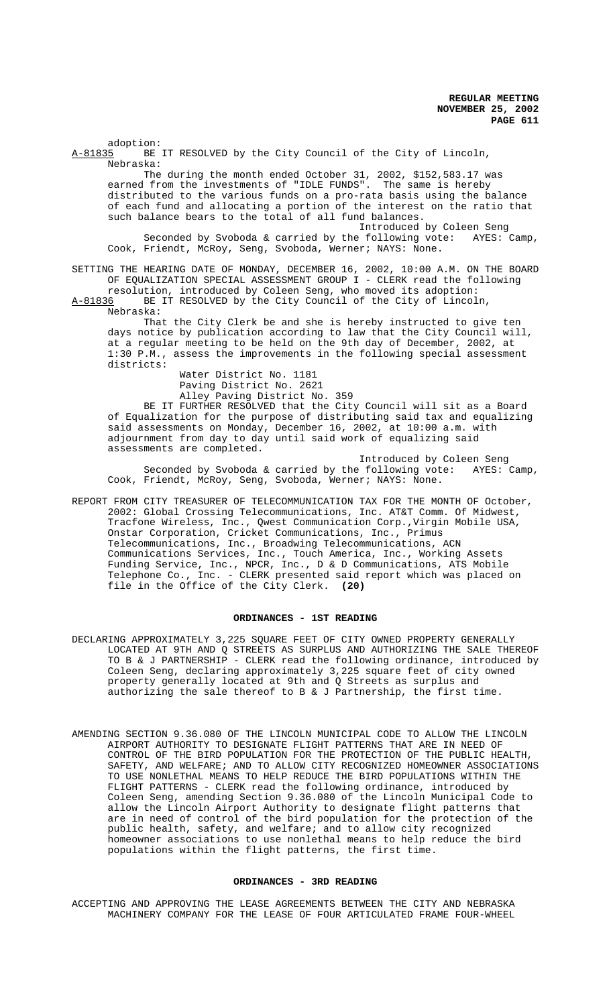adoption:<br>A-81835 BE BE IT RESOLVED by the City Council of the City of Lincoln, Nebraska: The during the month ended October 31, 2002, \$152,583.17 was earned from the investments of "IDLE FUNDS". The same is hereby distributed to the various funds on a pro-rata basis using the balance of each fund and allocating a portion of the interest on the ratio that such balance bears to the total of all fund balances. Introduced by Coleen Seng Seconded by Svoboda & carried by the following vote: AYES: Camp, Cook, Friendt, McRoy, Seng, Svoboda, Werner; NAYS: None. SETTING THE HEARING DATE OF MONDAY, DECEMBER 16, 2002, 10:00 A.M. ON THE BOARD OF EQUALIZATION SPECIAL ASSESSMENT GROUP I - CLERK read the following resolution, introduced by Coleen Seng, who moved its adoption: A-81836 BE IT RESOLVED by the City Council of the City of Lincoln, Nebraska: That the City Clerk be and she is hereby instructed to give ten days notice by publication according to law that the City Council will, at a regular meeting to be held on the 9th day of December, 2002, at 1:30 P.M., assess the improvements in the following special assessment districts: Water District No. 1181 Paving District No. 2621 Alley Paving District No. 359 BE IT FURTHER RESOLVED that the City Council will sit as a Board of Equalization for the purpose of distributing said tax and equalizing said assessments on Monday, December 16, 2002, at 10:00 a.m. with adjournment from day to day until said work of equalizing said assessments are completed. Introduced by Coleen Seng<br>E following vote: AYES: Camp, Seconded by Svoboda & carried by the following vote: Cook, Friendt, McRoy, Seng, Svoboda, Werner; NAYS: None.

REPORT FROM CITY TREASURER OF TELECOMMUNICATION TAX FOR THE MONTH OF October, 2002: Global Crossing Telecommunications, Inc. AT&T Comm. Of Midwest, Tracfone Wireless, Inc., Qwest Communication Corp.,Virgin Mobile USA, Onstar Corporation, Cricket Communications, Inc., Primus Telecommunications, Inc., Broadwing Telecommunications, ACN Communications Services, Inc., Touch America, Inc., Working Assets Funding Service, Inc., NPCR, Inc., D & D Communications, ATS Mobile Telephone Co., Inc. - CLERK presented said report which was placed on file in the Office of the City Clerk. **(20)**

### **ORDINANCES - 1ST READING**

- DECLARING APPROXIMATELY 3,225 SQUARE FEET OF CITY OWNED PROPERTY GENERALLY LOCATED AT 9TH AND Q STREETS AS SURPLUS AND AUTHORIZING THE SALE THEREOF TO B & J PARTNERSHIP - CLERK read the following ordinance, introduced by Coleen Seng, declaring approximately 3,225 square feet of city owned property generally located at 9th and Q Streets as surplus and authorizing the sale thereof to B & J Partnership, the first time.
- AMENDING SECTION 9.36.080 OF THE LINCOLN MUNICIPAL CODE TO ALLOW THE LINCOLN AIRPORT AUTHORITY TO DESIGNATE FLIGHT PATTERNS THAT ARE IN NEED OF CONTROL OF THE BIRD POPULATION FOR THE PROTECTION OF THE PUBLIC HEALTH, SAFETY, AND WELFARE; AND TO ALLOW CITY RECOGNIZED HOMEOWNER ASSOCIATIONS TO USE NONLETHAL MEANS TO HELP REDUCE THE BIRD POPULATIONS WITHIN THE FLIGHT PATTERNS - CLERK read the following ordinance, introduced by Coleen Seng, amending Section 9.36.080 of the Lincoln Municipal Code to allow the Lincoln Airport Authority to designate flight patterns that are in need of control of the bird population for the protection of the public health, safety, and welfare; and to allow city recognized homeowner associations to use nonlethal means to help reduce the bird populations within the flight patterns, the first time.

## **ORDINANCES - 3RD READING**

ACCEPTING AND APPROVING THE LEASE AGREEMENTS BETWEEN THE CITY AND NEBRASKA MACHINERY COMPANY FOR THE LEASE OF FOUR ARTICULATED FRAME FOUR-WHEEL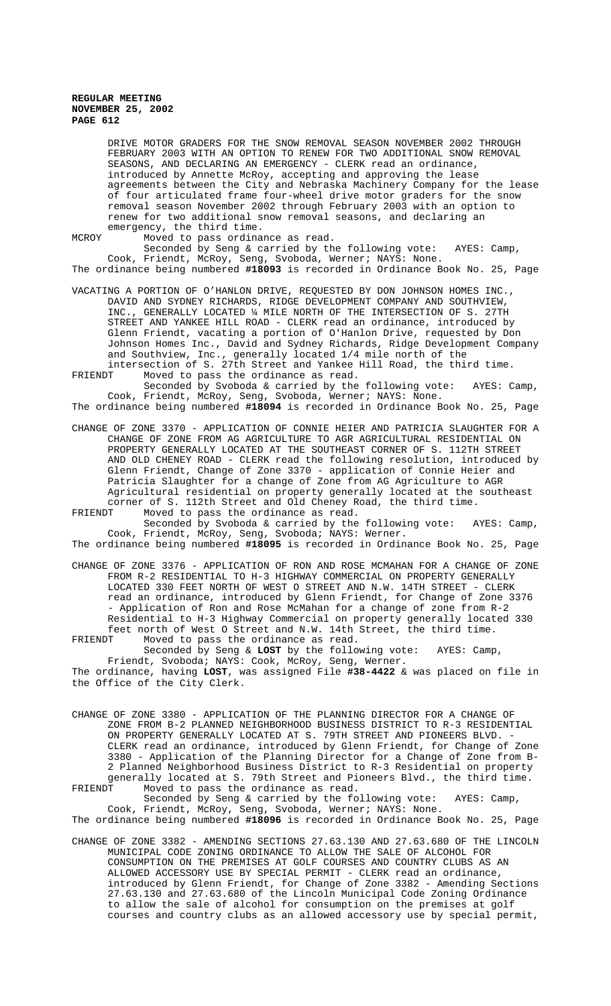DRIVE MOTOR GRADERS FOR THE SNOW REMOVAL SEASON NOVEMBER 2002 THROUGH FEBRUARY 2003 WITH AN OPTION TO RENEW FOR TWO ADDITIONAL SNOW REMOVAL SEASONS, AND DECLARING AN EMERGENCY - CLERK read an ordinance, introduced by Annette McRoy, accepting and approving the lease agreements between the City and Nebraska Machinery Company for the lease of four articulated frame four-wheel drive motor graders for the snow removal season November 2002 through February 2003 with an option to renew for two additional snow removal seasons, and declaring an emergency, the third time.

MCROY Moved to pass ordinance as read.

Seconded by Seng & carried by the following vote: AYES: Camp, Cook, Friendt, McRoy, Seng, Svoboda, Werner; NAYS: None. The ordinance being numbered **#18093** is recorded in Ordinance Book No. 25, Page

- VACATING A PORTION OF O'HANLON DRIVE, REQUESTED BY DON JOHNSON HOMES INC., DAVID AND SYDNEY RICHARDS, RIDGE DEVELOPMENT COMPANY AND SOUTHVIEW, INC., GENERALLY LOCATED ¼ MILE NORTH OF THE INTERSECTION OF S. 27TH STREET AND YANKEE HILL ROAD - CLERK read an ordinance, introduced by Glenn Friendt, vacating a portion of O'Hanlon Drive, requested by Don Johnson Homes Inc., David and Sydney Richards, Ridge Development Company and Southview, Inc., generally located 1/4 mile north of the intersection of S. 27th Street and Yankee Hill Road, the third time.
- FRIENDT Moved to pass the ordinance as read. Seconded by Svoboda & carried by the following vote: AYES: Camp,

Cook, Friendt, McRoy, Seng, Svoboda, Werner; NAYS: None. The ordinance being numbered **#18094** is recorded in Ordinance Book No. 25, Page

CHANGE OF ZONE 3370 - APPLICATION OF CONNIE HEIER AND PATRICIA SLAUGHTER FOR A CHANGE OF ZONE FROM AG AGRICULTURE TO AGR AGRICULTURAL RESIDENTIAL ON PROPERTY GENERALLY LOCATED AT THE SOUTHEAST CORNER OF S. 112TH STREET AND OLD CHENEY ROAD - CLERK read the following resolution, introduced by Glenn Friendt, Change of Zone 3370 - application of Connie Heier and Patricia Slaughter for a change of Zone from AG Agriculture to AGR Agricultural residential on property generally located at the southeast corner of S. 112th Street and Old Cheney Road, the third time.<br>FRIENDT Moved to pass the ordinance as read. Moved to pass the ordinance as read.

Seconded by Svoboda & carried by the following vote: AYES: Camp, Cook, Friendt, McRoy, Seng, Svoboda; NAYS: Werner.

The ordinance being numbered **#18095** is recorded in Ordinance Book No. 25, Page

CHANGE OF ZONE 3376 - APPLICATION OF RON AND ROSE MCMAHAN FOR A CHANGE OF ZONE FROM R-2 RESIDENTIAL TO H-3 HIGHWAY COMMERCIAL ON PROPERTY GENERALLY LOCATED 330 FEET NORTH OF WEST O STREET AND N.W. 14TH STREET - CLERK read an ordinance, introduced by Glenn Friendt, for Change of Zone 3376 - Application of Ron and Rose McMahan for a change of zone from R-2 Residential to H-3 Highway Commercial on property generally located 330 feet north of West O Street and N.W. 14th Street, the third time.<br>FRIENDT Moved to pass the ordinance as read. Moved to pass the ordinance as read.

Seconded by Seng & **LOST** by the following vote: AYES: Camp, Friendt, Svoboda; NAYS: Cook, McRoy, Seng, Werner. The ordinance, having **LOST**, was assigned File **#38-4422** & was placed on file in the Office of the City Clerk.

CHANGE OF ZONE 3380 - APPLICATION OF THE PLANNING DIRECTOR FOR A CHANGE OF ZONE FROM B-2 PLANNED NEIGHBORHOOD BUSINESS DISTRICT TO R-3 RESIDENTIAL ON PROPERTY GENERALLY LOCATED AT S. 79TH STREET AND PIONEERS BLVD. -CLERK read an ordinance, introduced by Glenn Friendt, for Change of Zone 3380 - Application of the Planning Director for a Change of Zone from B-2 Planned Neighborhood Business District to R-3 Residential on property generally located at S. 79th Street and Pioneers Blvd., the third time.<br>FRIENDT Moved to pass the ordinance as read. Moved to pass the ordinance as read.

Seconded by Seng & carried by the following vote: AYES: Camp, Cook, Friendt, McRoy, Seng, Svoboda, Werner; NAYS: None.

The ordinance being numbered **#18096** is recorded in Ordinance Book No. 25, Page

CHANGE OF ZONE 3382 - AMENDING SECTIONS 27.63.130 AND 27.63.680 OF THE LINCOLN MUNICIPAL CODE ZONING ORDINANCE TO ALLOW THE SALE OF ALCOHOL FOR CONSUMPTION ON THE PREMISES AT GOLF COURSES AND COUNTRY CLUBS AS AN ALLOWED ACCESSORY USE BY SPECIAL PERMIT - CLERK read an ordinance, introduced by Glenn Friendt, for Change of Zone 3382 - Amending Sections 27.63.130 and 27.63.680 of the Lincoln Municipal Code Zoning Ordinance to allow the sale of alcohol for consumption on the premises at golf courses and country clubs as an allowed accessory use by special permit,